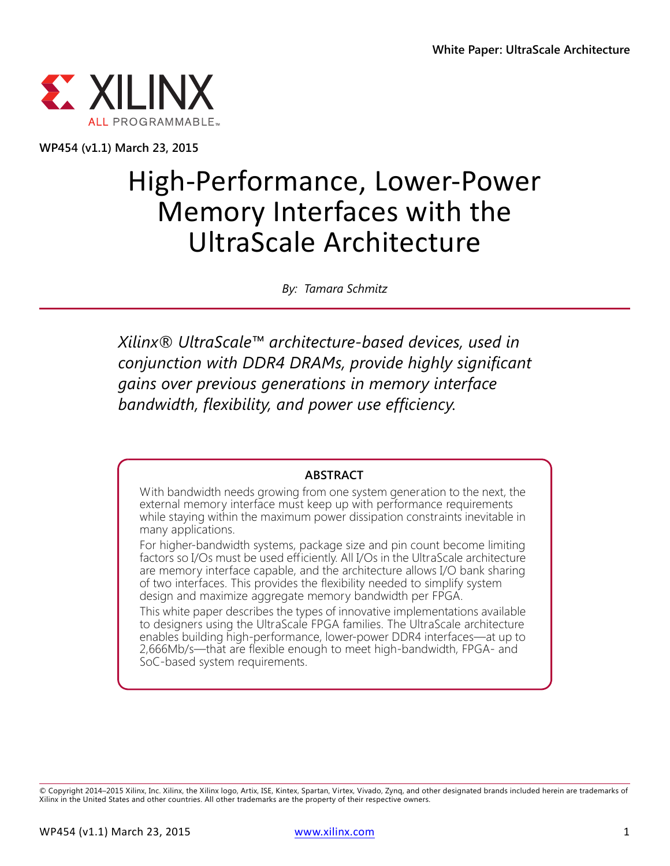

**WP454 (v1.1) March 23, 2015**

# High-Performance, Lower-Power Memory Interfaces with the UltraScale Architecture

*By: Tamara Schmitz*

*Xilinx® UltraScale™ architecture-based devices, used in conjunction with DDR4 DRAMs, provide highly significant gains over previous generations in memory interface bandwidth, flexibility, and power use efficiency.*

#### **ABSTRACT**

With bandwidth needs growing from one system generation to the next, the external memory interface must keep up with performance requirements while staying within the maximum power dissipation constraints inevitable in many applications.

For higher-bandwidth systems, package size and pin count become limiting factors so I/Os must be used efficiently. All I/Os in the UltraScale architecture are memory interface capable, and the architecture allows I/O bank sharing of two interfaces. This provides the flexibility needed to simplify system design and maximize aggregate memory bandwidth per FPGA.

This white paper describes the types of innovative implementations available to designers using the UltraScale FPGA families. The UltraScale architecture enables building high-performance, lower-power DDR4 interfaces—at up to 2,666Mb/s—that are flexible enough to meet high-bandwidth, FPGA- and SoC-based system requirements.

© Copyright 2014–2015 Xilinx, Inc. Xilinx, the Xilinx logo, Artix, ISE, Kintex, Spartan, Virtex, Vivado, Zynq, and other designated brands included herein are trademarks of Xilinx in the United States and other countries. All other trademarks are the property of their respective owners.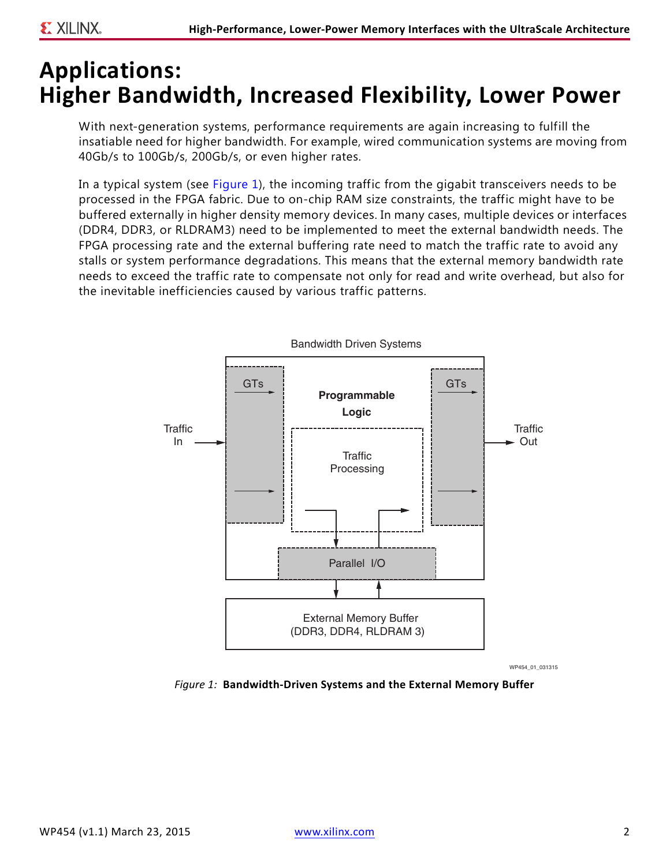### **Applications: Higher Bandwidth, Increased Flexibility, Lower Power**

With next-generation systems, performance requirements are again increasing to fulfill the insatiable need for higher bandwidth. For example, wired communication systems are moving from 40Gb/s to 100Gb/s, 200Gb/s, or even higher rates.

In a typical system (see [Figure 1\)](#page-1-0), the incoming traffic from the gigabit transceivers needs to be processed in the FPGA fabric. Due to on-chip RAM size constraints, the traffic might have to be buffered externally in higher density memory devices. In many cases, multiple devices or interfaces (DDR4, DDR3, or RLDRAM3) need to be implemented to meet the external bandwidth needs. The FPGA processing rate and the external buffering rate need to match the traffic rate to avoid any stalls or system performance degradations. This means that the external memory bandwidth rate needs to exceed the traffic rate to compensate not only for read and write overhead, but also for the inevitable inefficiencies caused by various traffic patterns.

<span id="page-1-0"></span>

WP454\_01\_031315

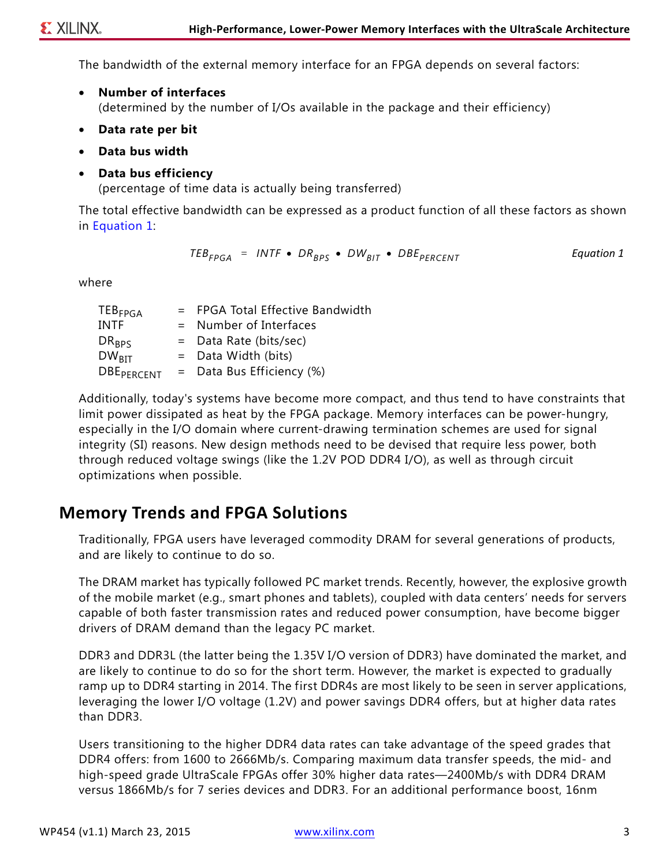The bandwidth of the external memory interface for an FPGA depends on several factors:

- **Number of interfaces** (determined by the number of I/Os available in the package and their efficiency)
- **Data rate per bit**
- **Data bus width**
- **Data bus efficiency**

(percentage of time data is actually being transferred)

The total effective bandwidth can be expressed as a product function of all these factors as shown in [Equation 1:](#page-2-0)

> *Equation 1*  $TEB_{FPGA}$  = *INTF* •  $DR_{RPS}$  •  $DW_{RIT}$  •  $DBE_{PERCFNT}$

<span id="page-2-0"></span>where

| $TEB_{FPGA}$           | = FPGA Total Effective Bandwidth |  |
|------------------------|----------------------------------|--|
| <b>INTF</b>            | $=$ Number of Interfaces         |  |
| $DR_{BPS}$             | $=$ Data Rate (bits/sec)         |  |
| $DW_{\text{RIT}}$      | $=$ Data Width (bits)            |  |
| DBE <sub>PERCENT</sub> | $=$ Data Bus Efficiency (%)      |  |

Additionally, today's systems have become more compact, and thus tend to have constraints that limit power dissipated as heat by the FPGA package. Memory interfaces can be power-hungry, especially in the I/O domain where current-drawing termination schemes are used for signal integrity (SI) reasons. New design methods need to be devised that require less power, both through reduced voltage swings (like the 1.2V POD DDR4 I/O), as well as through circuit optimizations when possible.

#### <span id="page-2-1"></span>**Memory Trends and FPGA Solutions**

Traditionally, FPGA users have leveraged commodity DRAM for several generations of products, and are likely to continue to do so.

The DRAM market has typically followed PC market trends. Recently, however, the explosive growth of the mobile market (e.g., smart phones and tablets), coupled with data centers' needs for servers capable of both faster transmission rates and reduced power consumption, have become bigger drivers of DRAM demand than the legacy PC market.

DDR3 and DDR3L (the latter being the 1.35V I/O version of DDR3) have dominated the market, and are likely to continue to do so for the short term. However, the market is expected to gradually ramp up to DDR4 starting in 2014. The first DDR4s are most likely to be seen in server applications, leveraging the lower I/O voltage (1.2V) and power savings DDR4 offers, but at higher data rates than DDR3.

Users transitioning to the higher DDR4 data rates can take advantage of the speed grades that DDR4 offers: from 1600 to 2666Mb/s. Comparing maximum data transfer speeds, the mid- and high-speed grade UltraScale FPGAs offer 30% higher data rates—2400Mb/s with DDR4 DRAM versus 1866Mb/s for 7 series devices and DDR3. For an additional performance boost, 16nm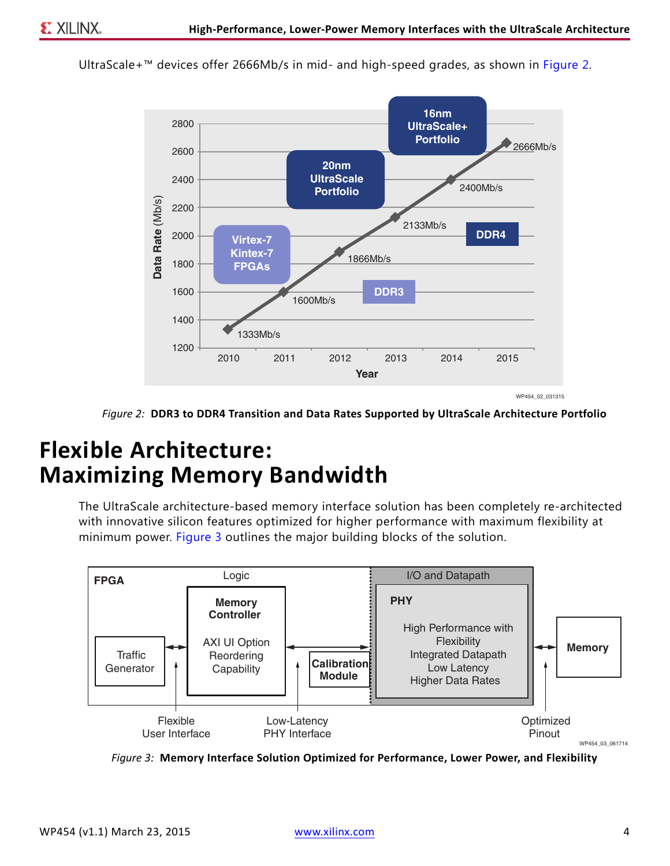<span id="page-3-0"></span>UltraScale+™ devices offer 2666Mb/s in mid- and high-speed grades, as shown in [Figure 2](#page-3-0).



*Figure 2:* **DDR3 to DDR4 Transition and Data Rates Supported by UltraScale Architecture Portfolio**

# **Flexible Architecture: Maximizing Memory Bandwidth**

The UltraScale architecture-based memory interface solution has been completely re-architected with innovative silicon features optimized for higher performance with maximum flexibility at minimum power. [Figure 3](#page-3-1) outlines the major building blocks of the solution.

<span id="page-3-1"></span>

*Figure 3:* **Memory Interface Solution Optimized for Performance, Lower Power, and Flexibility**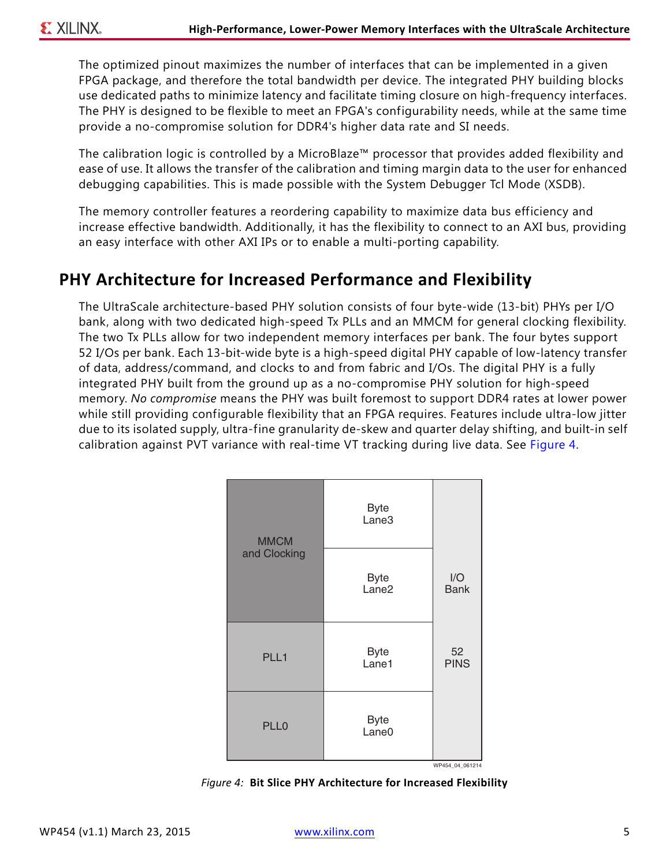The optimized pinout maximizes the number of interfaces that can be implemented in a given FPGA package, and therefore the total bandwidth per device. The integrated PHY building blocks use dedicated paths to minimize latency and facilitate timing closure on high-frequency interfaces. The PHY is designed to be flexible to meet an FPGA's configurability needs, while at the same time provide a no-compromise solution for DDR4's higher data rate and SI needs.

The calibration logic is controlled by a MicroBlaze™ processor that provides added flexibility and ease of use. It allows the transfer of the calibration and timing margin data to the user for enhanced debugging capabilities. This is made possible with the System Debugger Tcl Mode (XSDB).

The memory controller features a reordering capability to maximize data bus efficiency and increase effective bandwidth. Additionally, it has the flexibility to connect to an AXI bus, providing an easy interface with other AXI IPs or to enable a multi-porting capability.

### **PHY Architecture for Increased Performance and Flexibility**

The UltraScale architecture-based PHY solution consists of four byte-wide (13-bit) PHYs per I/O bank, along with two dedicated high-speed Tx PLLs and an MMCM for general clocking flexibility. The two Tx PLLs allow for two independent memory interfaces per bank. The four bytes support 52 I/Os per bank. Each 13-bit-wide byte is a high-speed digital PHY capable of low-latency transfer of data, address/command, and clocks to and from fabric and I/Os. The digital PHY is a fully integrated PHY built from the ground up as a no-compromise PHY solution for high-speed memory. *No compromise* means the PHY was built foremost to support DDR4 rates at lower power while still providing configurable flexibility that an FPGA requires. Features include ultra-low jitter due to its isolated supply, ultra-fine granularity de-skew and quarter delay shifting, and built-in self calibration against PVT variance with real-time VT tracking during live data. See [Figure 4.](#page-4-0)

<span id="page-4-0"></span>

*Figure 4:* **Bit Slice PHY Architecture for Increased Flexibility**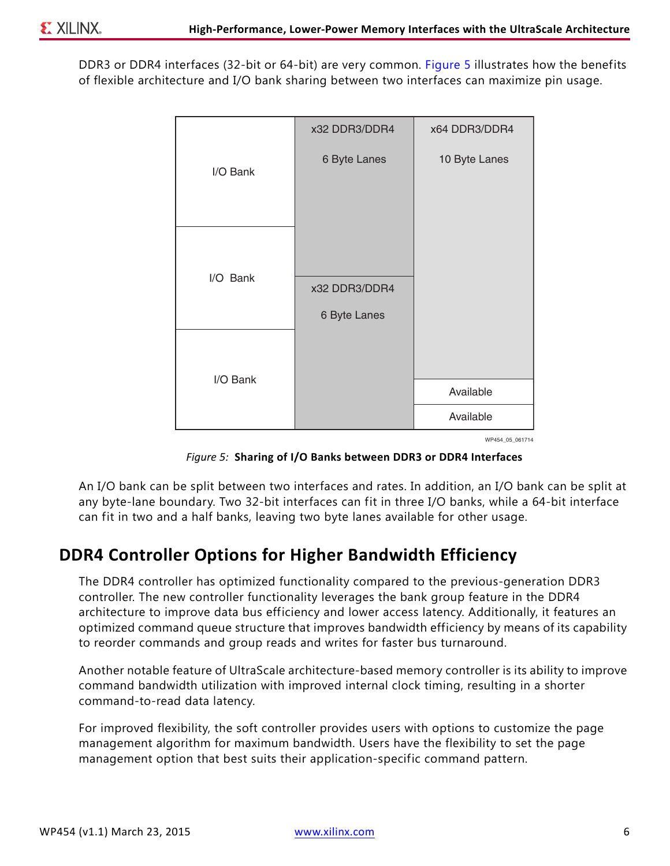<span id="page-5-0"></span>DDR3 or DDR4 interfaces (32-bit or 64-bit) are very common. [Figure 5](#page-5-0) illustrates how the benefits of flexible architecture and I/O bank sharing between two interfaces can maximize pin usage.



WP454\_05\_061714

*Figure 5:* **Sharing of I/O Banks between DDR3 or DDR4 Interfaces**

An I/O bank can be split between two interfaces and rates. In addition, an I/O bank can be split at any byte-lane boundary. Two 32-bit interfaces can fit in three I/O banks, while a 64-bit interface can fit in two and a half banks, leaving two byte lanes available for other usage.

### **DDR4 Controller Options for Higher Bandwidth Efficiency**

The DDR4 controller has optimized functionality compared to the previous-generation DDR3 controller. The new controller functionality leverages the bank group feature in the DDR4 architecture to improve data bus efficiency and lower access latency. Additionally, it features an optimized command queue structure that improves bandwidth efficiency by means of its capability to reorder commands and group reads and writes for faster bus turnaround.

Another notable feature of UltraScale architecture-based memory controller is its ability to improve command bandwidth utilization with improved internal clock timing, resulting in a shorter command-to-read data latency.

For improved flexibility, the soft controller provides users with options to customize the page management algorithm for maximum bandwidth. Users have the flexibility to set the page management option that best suits their application-specific command pattern.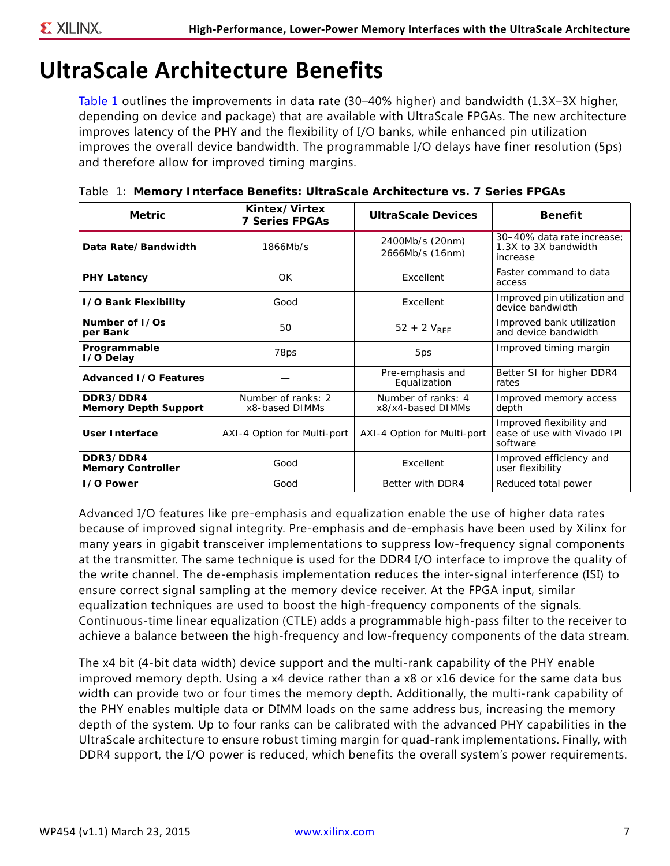# <span id="page-6-1"></span>**UltraScale Architecture Benefits**

[Table 1](#page-6-0) outlines the improvements in data rate (30–40% higher) and bandwidth (1.3X–3X higher, depending on device and package) that are available with UltraScale FPGAs. The new architecture improves latency of the PHY and the flexibility of I/O banks, while enhanced pin utilization improves the overall device bandwidth. The programmable I/O delays have finer resolution (5ps) and therefore allow for improved timing margins.

| <b>Metric</b>                            | Kintex/Virtex<br><b>7 Series FPGAs</b> | <b>UltraScale Devices</b>               | <b>Benefit</b>                                                      |
|------------------------------------------|----------------------------------------|-----------------------------------------|---------------------------------------------------------------------|
| Data Rate/Bandwidth                      | 1866Mb/s                               | 2400Mb/s (20nm)<br>2666Mb/s (16nm)      | 30-40% data rate increase:<br>1.3X to 3X bandwidth<br>increase      |
| <b>PHY Latency</b>                       | OK                                     | Excellent                               | Faster command to data<br>access                                    |
| <b>1/0 Bank Flexibility</b>              | Good                                   | Excellent                               | Improved pin utilization and<br>device bandwidth                    |
| Number of L/Os<br>per Bank               | 50                                     | $52 + 2 V_{RFF}$                        | Improved bank utilization<br>and device bandwidth                   |
| Programmable<br>I/O Delay                | 78ps                                   | 5ps                                     | Improved timing margin                                              |
| <b>Advanced I/O Features</b>             |                                        | Pre-emphasis and<br>Equalization        | Better SI for higher DDR4<br>rates                                  |
| DDR3/DDR4<br><b>Memory Depth Support</b> | Number of ranks: 2<br>x8-based DIMMs   | Number of ranks: 4<br>x8/x4-based DIMMs | Improved memory access<br>depth                                     |
| <b>User Interface</b>                    | AXI-4 Option for Multi-port            | AXI-4 Option for Multi-port             | Improved flexibility and<br>ease of use with Vivado IPI<br>software |
| DDR3/DDR4<br><b>Memory Controller</b>    | Good                                   | Excellent                               | Improved efficiency and<br>user flexibility                         |
| <b>1/0 Power</b>                         | Good                                   | Better with DDR4                        | Reduced total power                                                 |

<span id="page-6-0"></span>*Table 1:* **Memory Interface Benefits: UltraScale Architecture vs. 7 Series FPGAs**

Advanced I/O features like pre-emphasis and equalization enable the use of higher data rates because of improved signal integrity. Pre-emphasis and de-emphasis have been used by Xilinx for many years in gigabit transceiver implementations to suppress low-frequency signal components at the transmitter. The same technique is used for the DDR4 I/O interface to improve the quality of the write channel. The de-emphasis implementation reduces the inter-signal interference (ISI) to ensure correct signal sampling at the memory device receiver. At the FPGA input, similar equalization techniques are used to boost the high-frequency components of the signals. Continuous-time linear equalization (CTLE) adds a programmable high-pass filter to the receiver to achieve a balance between the high-frequency and low-frequency components of the data stream.

The x4 bit (4-bit data width) device support and the multi-rank capability of the PHY enable improved memory depth. Using a x4 device rather than a x8 or x16 device for the same data bus width can provide two or four times the memory depth. Additionally, the multi-rank capability of the PHY enables multiple data or DIMM loads on the same address bus, increasing the memory depth of the system. Up to four ranks can be calibrated with the advanced PHY capabilities in the UltraScale architecture to ensure robust timing margin for quad-rank implementations. Finally, with DDR4 support, the I/O power is reduced, which benefits the overall system's power requirements.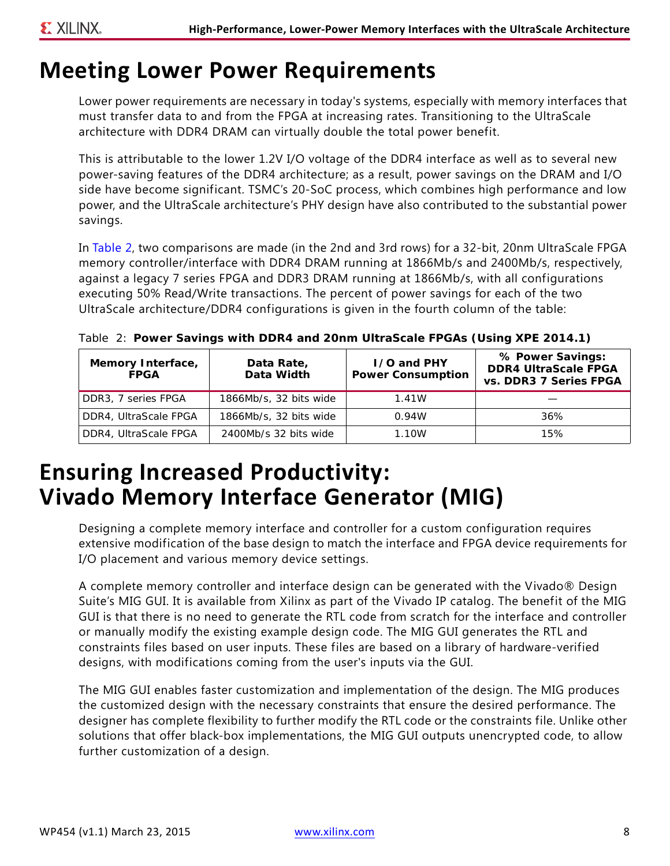### **Meeting Lower Power Requirements**

Lower power requirements are necessary in today's systems, especially with memory interfaces that must transfer data to and from the FPGA at increasing rates. Transitioning to the UltraScale architecture with DDR4 DRAM can virtually double the total power benefit.

This is attributable to the lower 1.2V I/O voltage of the DDR4 interface as well as to several new power-saving features of the DDR4 architecture; as a result, power savings on the DRAM and I/O side have become significant. TSMC's 20-SoC process, which combines high performance and low power, and the UltraScale architecture's PHY design have also contributed to the substantial power savings.

In [Table 2,](#page-7-0) two comparisons are made (in the 2nd and 3rd rows) for a 32-bit, 20nm UltraScale FPGA memory controller/interface with DDR4 DRAM running at 1866Mb/s and 2400Mb/s, respectively, against a legacy 7 series FPGA and DDR3 DRAM running at 1866Mb/s, with all configurations executing 50% Read/Write transactions. The percent of power savings for each of the two UltraScale architecture/DDR4 configurations is given in the fourth column of the table:

| Memory Interface,<br><b>FPGA</b> | Data Rate,<br>Data Width | <b>I/O and PHY</b><br><b>Power Consumption</b> | % Power Savings:<br><b>DDR4 UltraScale FPGA</b><br>vs. DDR3 7 Series FPGA |
|----------------------------------|--------------------------|------------------------------------------------|---------------------------------------------------------------------------|
| DDR3, 7 series FPGA              | 1866Mb/s, 32 bits wide   | 1.41W                                          |                                                                           |
| DDR4, UltraScale FPGA            | 1866Mb/s, 32 bits wide   | 0.94W                                          | 36%                                                                       |
| DDR4, UltraScale FPGA            | 2400Mb/s 32 bits wide    | 1.10W                                          | 15%                                                                       |

<span id="page-7-0"></span>*Table 2:* **Power Savings with DDR4 and 20nm UltraScale FPGAs (Using XPE 2014.1)**

# **Ensuring Increased Productivity: Vivado Memory Interface Generator (MIG)**

Designing a complete memory interface and controller for a custom configuration requires extensive modification of the base design to match the interface and FPGA device requirements for I/O placement and various memory device settings.

A complete memory controller and interface design can be generated with the Vivado® Design Suite's MIG GUI. It is available from Xilinx as part of the Vivado IP catalog. The benefit of the MIG GUI is that there is no need to generate the RTL code from scratch for the interface and controller or manually modify the existing example design code. The MIG GUI generates the RTL and constraints files based on user inputs. These files are based on a library of hardware-verified designs, with modifications coming from the user's inputs via the GUI.

The MIG GUI enables faster customization and implementation of the design. The MIG produces the customized design with the necessary constraints that ensure the desired performance. The designer has complete flexibility to further modify the RTL code or the constraints file. Unlike other solutions that offer black-box implementations, the MIG GUI outputs unencrypted code, to allow further customization of a design.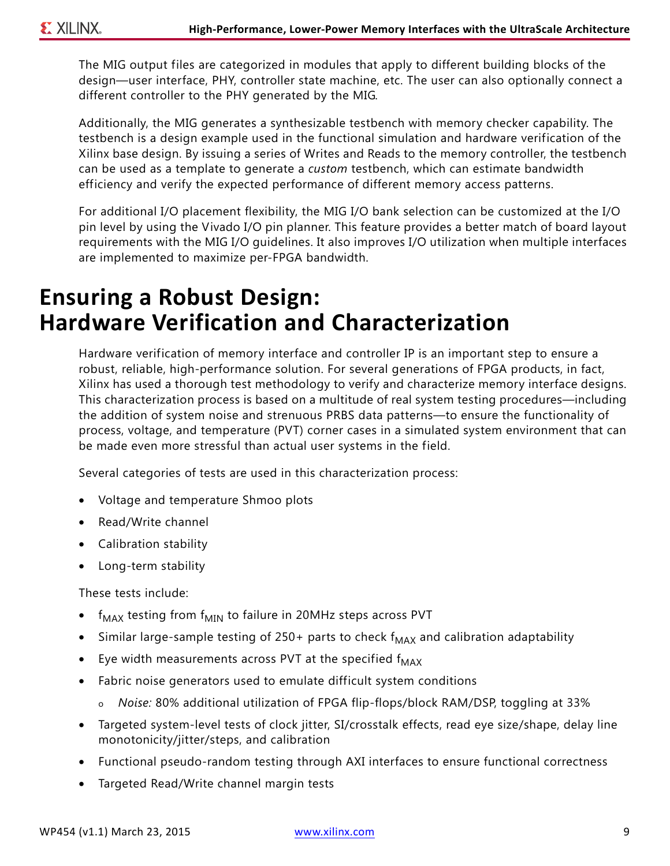The MIG output files are categorized in modules that apply to different building blocks of the design—user interface, PHY, controller state machine, etc. The user can also optionally connect a different controller to the PHY generated by the MIG.

Additionally, the MIG generates a synthesizable testbench with memory checker capability. The testbench is a design example used in the functional simulation and hardware verification of the Xilinx base design. By issuing a series of Writes and Reads to the memory controller, the testbench can be used as a template to generate a *custom* testbench, which can estimate bandwidth efficiency and verify the expected performance of different memory access patterns.

For additional I/O placement flexibility, the MIG I/O bank selection can be customized at the I/O pin level by using the Vivado I/O pin planner. This feature provides a better match of board layout requirements with the MIG I/O guidelines. It also improves I/O utilization when multiple interfaces are implemented to maximize per-FPGA bandwidth.

# **Ensuring a Robust Design: Hardware Verification and Characterization**

Hardware verification of memory interface and controller IP is an important step to ensure a robust, reliable, high-performance solution. For several generations of FPGA products, in fact, Xilinx has used a thorough test methodology to verify and characterize memory interface designs. This characterization process is based on a multitude of real system testing procedures—including the addition of system noise and strenuous PRBS data patterns—to ensure the functionality of process, voltage, and temperature (PVT) corner cases in a simulated system environment that can be made even more stressful than actual user systems in the field.

Several categories of tests are used in this characterization process:

- Voltage and temperature Shmoo plots
- Read/Write channel
- Calibration stability
- Long-term stability

These tests include:

- $f_{MAX}$  testing from  $f_{MIN}$  to failure in 20MHz steps across PVT
- Similar large-sample testing of 250+ parts to check  $f_{MAX}$  and calibration adaptability
- Eye width measurements across PVT at the specified  $f_{MAX}$
- Fabric noise generators used to emulate difficult system conditions
	- o *Noise:* 80% additional utilization of FPGA flip-flops/block RAM/DSP, toggling at 33%
- Targeted system-level tests of clock jitter, SI/crosstalk effects, read eye size/shape, delay line monotonicity/jitter/steps, and calibration
- Functional pseudo-random testing through AXI interfaces to ensure functional correctness
- Targeted Read/Write channel margin tests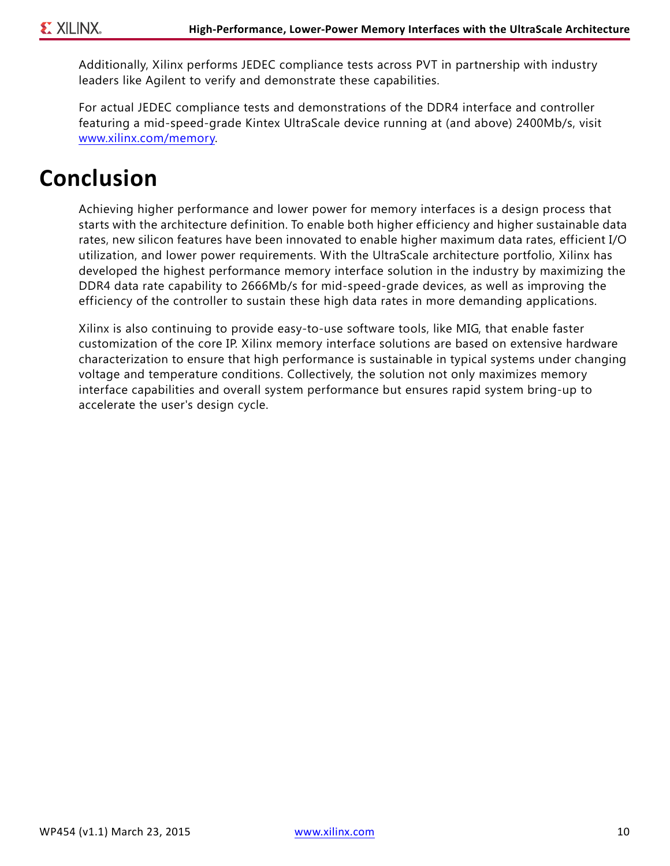Additionally, Xilinx performs JEDEC compliance tests across PVT in partnership with industry leaders like Agilent to verify and demonstrate these capabilities.

For actual JEDEC compliance tests and demonstrations of the DDR4 interface and controller featuring a mid-speed-grade Kintex UltraScale device running at (and above) 2400Mb/s, visit [www.xilinx.com/memory.](www.xilinx.com/memory)

# <span id="page-9-0"></span>**Conclusion**

Achieving higher performance and lower power for memory interfaces is a design process that starts with the architecture definition. To enable both higher efficiency and higher sustainable data rates, new silicon features have been innovated to enable higher maximum data rates, efficient I/O utilization, and lower power requirements. With the UltraScale architecture portfolio, Xilinx has developed the highest performance memory interface solution in the industry by maximizing the DDR4 data rate capability to 2666Mb/s for mid-speed-grade devices, as well as improving the efficiency of the controller to sustain these high data rates in more demanding applications.

Xilinx is also continuing to provide easy-to-use software tools, like MIG, that enable faster customization of the core IP. Xilinx memory interface solutions are based on extensive hardware characterization to ensure that high performance is sustainable in typical systems under changing voltage and temperature conditions. Collectively, the solution not only maximizes memory interface capabilities and overall system performance but ensures rapid system bring-up to accelerate the user's design cycle.